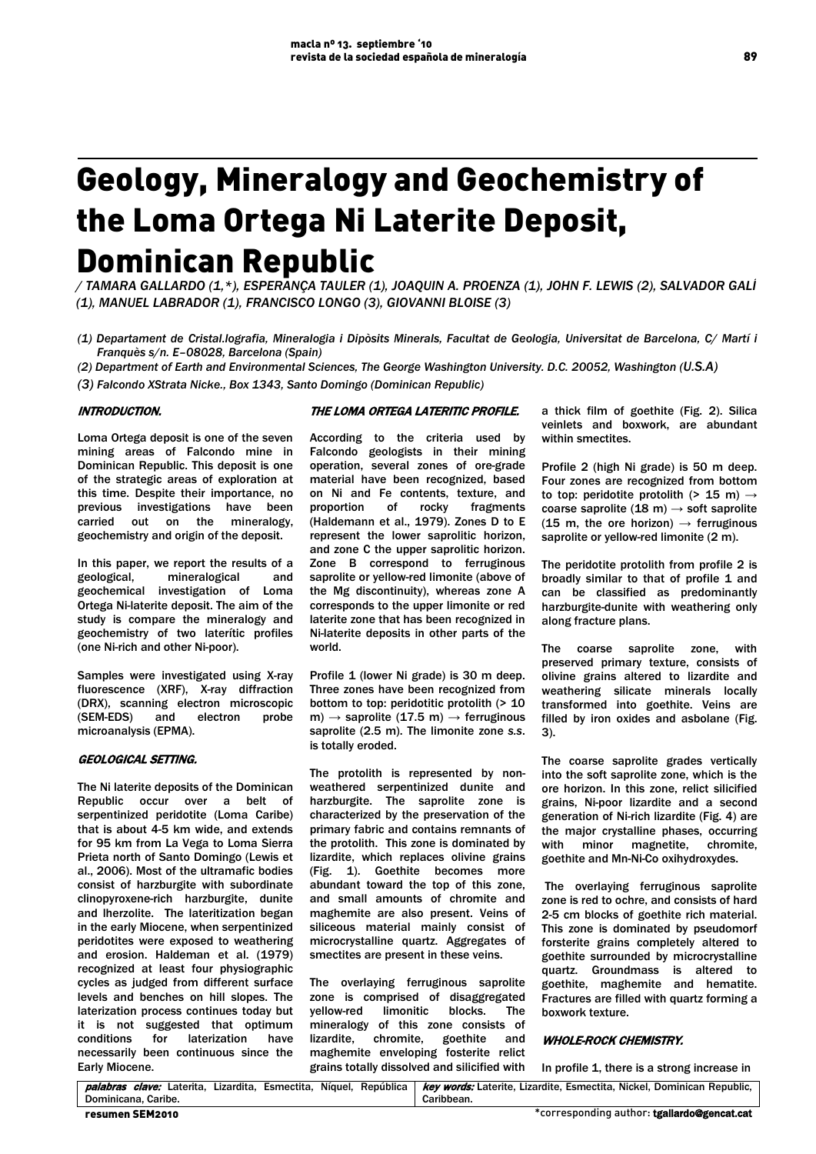# Geology, Mineralogy and Geochemistry of the Loma Ortega Ni Laterite Deposit, Dominican Republic

*/ TAMARA GALLARDO (1,\*), ESPERANÇA TAULER (1), JOAQUIN A. PROENZA (1), JOHN F. LEWIS (2), SALVADOR GALÍ (1), MANUEL LABRADOR (1), FRANCISCO LONGO (3), GIOVANNI BLOISE (3)*

- *(1) Departament de Cristal.lografia, Mineralogia i Dipòsits Minerals, Facultat de Geologia, Universitat de Barcelona, C/ Martí i Franquès s/n. E–08028, Barcelona (Spain)*
- *(2) Department of Earth and Environmental Sciences, The George Washington University. D.C. 20052, Washington (U.S.A)*
- *(3) Falcondo XStrata Nicke., Box 1343, Santo Domingo (Dominican Republic)*

## INTRODUCTION.

Loma Ortega deposit is one of the seven mining areas of Falcondo mine in Dominican Republic. This deposit is one of the strategic areas of exploration at this time. Despite their importance, no previous investigations have been carried out on the mineralogy, geochemistry and origin of the deposit.

In this paper, we report the results of a<br>geological, mineralogical and mineralogical geochemical investigation of Loma Ortega Ni-laterite deposit. The aim of the study is compare the mineralogy and geochemistry of two laterític profiles (one Ni-rich and other Ni-poor).

Samples were investigated using X*-*ray fluorescence (XRF), X-ray diffraction (DRX), scanning electron microscopic (SEM-EDS) and electron probe microanalysis (EPMA).

## GEOLOGICAL SETTING.

The Ni laterite deposits of the Dominican Republic occur over a belt of serpentinized peridotite (Loma Caribe) that is about 4-5 km wide, and extends for 95 km from La Vega to Loma Sierra Prieta north of Santo Domingo (Lewis et al., 2006). Most of the ultramafic bodies consist of harzburgite with subordinate clinopyroxene-rich harzburgite, dunite and lherzolite. The lateritization began in the early Miocene, when serpentinized peridotites were exposed to weathering and erosion. Haldeman et al. (1979) recognized at least four physiographic cycles as judged from different surface levels and benches on hill slopes. The laterization process continues today but it is not suggested that optimum conditions for laterization have necessarily been continuous since the Early Miocene.

## THE LOMA ORTEGA LATERITIC PROFILE.

 According to the criteria used by Falcondo geologists in their mining operation, several zones of ore-grade material have been recognized, based on Ni and Fe contents, texture, and proportion of rocky fragments (Haldemann et al., 1979). Zones D to E represent the lower saprolitic horizon, and zone C the upper saprolitic horizon. Zone B correspond to ferruginous saprolite or yellow-red limonite (above of the Mg discontinuity), whereas zone A corresponds to the upper limonite or red laterite zone that has been recognized in Ni-laterite deposits in other parts of the world.

Profile 1 (lower Ni grade) is 30 m deep. Three zones have been recognized from bottom to top: peridotitic protolith (> 10 m)  $\rightarrow$  saprolite (17.5 m)  $\rightarrow$  ferruginous saprolite (2.5 m). The limonite zone *s.s*. is totally eroded.

The protolith is represented by nonweathered serpentinized dunite and harzburgite. The saprolite zone is characterized by the preservation of the primary fabric and contains remnants of the protolith. This zone is dominated by lizardite, which replaces olivine grains (Fig. 1). Goethite becomes more abundant toward the top of this zone, and small amounts of chromite and maghemite are also present. Veins of siliceous material mainly consist of microcrystalline quartz. Aggregates of smectites are present in these veins.

The overlaying ferruginous saprolite zone is comprised of disaggregated<br>yellow-red limonitic blocks. The yellow-red limonitic blocks. The mineralogy of this zone consists of<br>lizardite, chromite, goethite and lizardite, chromite, maghemite enveloping fosterite relict grains totally dissolved and silicified with a thick film of goethite (Fig. 2). Silica veinlets and boxwork, are abundant within smectites.

Profile 2 (high Ni grade) is 50 m deep. Four zones are recognized from bottom to top: peridotite protolith (> 15 m)  $\rightarrow$ coarse saprolite (18 m)  $\rightarrow$  soft saprolite (15 m, the ore horizon)  $\rightarrow$  ferruginous saprolite or yellow-red limonite (2 m).

The peridotite protolith from profile 2 is broadly similar to that of profile 1 and can be classified as predominantly harzburgite-dunite with weathering only along fracture plans.

The coarse saprolite zone, with preserved primary texture, consists of olivine grains altered to lizardite and weathering silicate minerals locally transformed into goethite. Veins are filled by iron oxides and asbolane (Fig. 3).

The coarse saprolite grades vertically into the soft saprolite zone, which is the ore horizon. In this zone, relict silicified grains, Ni-poor lizardite and a second generation of Ni-rich lizardite (Fig. 4) are the major crystalline phases, occurring with minor magnetite, chromite, goethite and Mn-Ni-Co oxihydroxydes.

The overlaying ferruginous saprolite zone is red to ochre, and consists of hard 2-5 cm blocks of goethite rich material. This zone is dominated by pseudomorf forsterite grains completely altered to goethite surrounded by microcrystalline quartz. Groundmass is altered to goethite, maghemite and hematite. Fractures are filled with quartz forming a boxwork texture.

#### WHOLE-ROCK CHEMISTRY.

In profile 1, there is a strong increase in

palabras clave: Laterita, Lizardita, Esmectita, Níquel, República Dominicana, Caribe. key words: Laterite, Lizardite, Esmectita, Nickel, Dominican Republic, Caribbean.